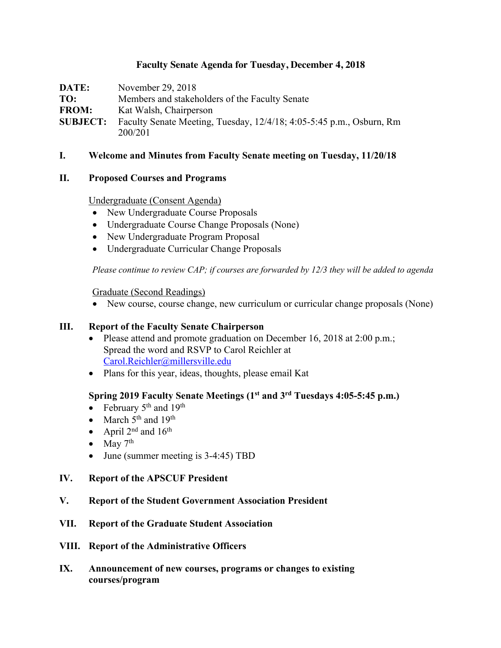### **Faculty Senate Agenda for Tuesday, December 4, 2018**

**DATE:** November 29, 2018 **TO:** Members and stakeholders of the Faculty Senate **FROM:** Kat Walsh, Chairperson **SUBJECT:** Faculty Senate Meeting, Tuesday, 12/4/18; 4:05-5:45 p.m., Osburn, Rm 200/201

#### **I. Welcome and Minutes from Faculty Senate meeting on Tuesday, 11/20/18**

#### **II. Proposed Courses and Programs**

#### Undergraduate (Consent Agenda)

- New Undergraduate Course Proposals
- Undergraduate Course Change Proposals (None)
- New Undergraduate Program Proposal
- Undergraduate Curricular Change Proposals

*Please continue to review CAP; if courses are forwarded by 12/3 they will be added to agenda*

#### Graduate (Second Readings)

• New course, course change, new curriculum or curricular change proposals (None)

#### **III. Report of the Faculty Senate Chairperson**

- Please attend and promote graduation on December 16, 2018 at 2:00 p.m.; Spread the word and RSVP to Carol Reichler at Carol.Reichler@millersville.edu
- Plans for this year, ideas, thoughts, please email Kat

# **Spring 2019 Faculty Senate Meetings (1st and 3rd Tuesdays 4:05-5:45 p.m.)**

- February  $5<sup>th</sup>$  and  $19<sup>th</sup>$
- March  $5<sup>th</sup>$  and  $19<sup>th</sup>$
- April  $2^{nd}$  and  $16^{th}$
- May  $7<sup>th</sup>$
- June (summer meeting is 3-4:45) TBD

#### **IV. Report of the APSCUF President**

- **V. Report of the Student Government Association President**
- **VII. Report of the Graduate Student Association**
- **VIII. Report of the Administrative Officers**
- **IX. Announcement of new courses, programs or changes to existing courses/program**